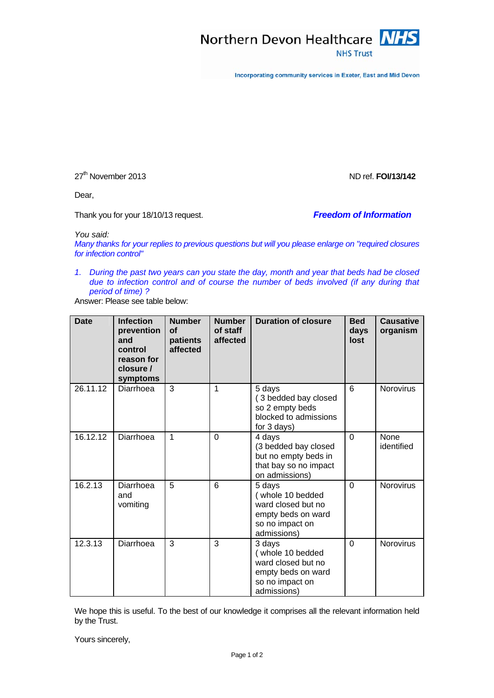

Incorporating community services in Exeter, East and Mid Devon

27<sup>th</sup> November 2013 2013

Dear,

Thank you for your 18/10/13 request. *Freedom of Information*

*You said:* 

*Many thanks for your replies to previous questions but will you please enlarge on "required closures for infection control"* 

*1. During the past two years can you state the day, month and year that beds had be closed due to infection control and of course the number of beds involved (if any during that period of time) ?* 

Answer: Please see table below:

| <b>Date</b> | <b>Infection</b><br>prevention<br>and<br>control<br>reason for<br>closure /<br>symptoms | <b>Number</b><br><b>of</b><br>patients<br>affected | <b>Number</b><br>of staff<br>affected | <b>Duration of closure</b>                                                                               | <b>Bed</b><br>days<br>lost | <b>Causative</b><br>organism |
|-------------|-----------------------------------------------------------------------------------------|----------------------------------------------------|---------------------------------------|----------------------------------------------------------------------------------------------------------|----------------------------|------------------------------|
| 26.11.12    | Diarrhoea                                                                               | 3                                                  | 1                                     | 5 days<br>(3 bedded bay closed<br>so 2 empty beds<br>blocked to admissions<br>for 3 days)                | 6                          | <b>Norovirus</b>             |
| 16.12.12    | Diarrhoea                                                                               | 1                                                  | $\Omega$                              | 4 days<br>(3 bedded bay closed<br>but no empty beds in<br>that bay so no impact<br>on admissions)        | $\Omega$                   | None<br>identified           |
| 16.2.13     | Diarrhoea<br>and<br>vomiting                                                            | 5                                                  | 6                                     | 5 days<br>(whole 10 bedded<br>ward closed but no<br>empty beds on ward<br>so no impact on<br>admissions) | $\Omega$                   | Norovirus                    |
| 12.3.13     | Diarrhoea                                                                               | 3                                                  | 3                                     | 3 days<br>(whole 10 bedded<br>ward closed but no<br>empty beds on ward<br>so no impact on<br>admissions) | $\Omega$                   | <b>Norovirus</b>             |

We hope this is useful. To the best of our knowledge it comprises all the relevant information held by the Trust.

Yours sincerely,